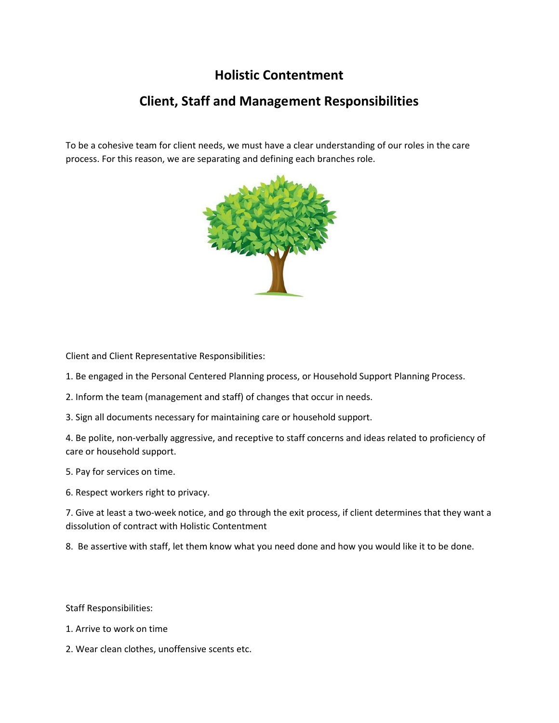## **Holistic Contentment**

## **Client, Staff and Management Responsibilities**

To be a cohesive team for client needs, we must have a clear understanding of our roles in the care process. For this reason, we are separating and defining each branches role.



Client and Client Representative Responsibilities:

1. Be engaged in the Personal Centered Planning process, or Household Support Planning Process.

2. Inform the team (management and staff) of changes that occur in needs.

3. Sign all documents necessary for maintaining care or household support.

4. Be polite, non-verbally aggressive, and receptive to staff concerns and ideas related to proficiency of care or household support.

5. Pay for services on time.

6. Respect workers right to privacy.

7. Give at least a two-week notice, and go through the exit process, if client determines that they want a dissolution of contract with Holistic Contentment

8. Be assertive with staff, let them know what you need done and how you would like it to be done.

Staff Responsibilities:

- 1. Arrive to work on time
- 2. Wear clean clothes, unoffensive scents etc.